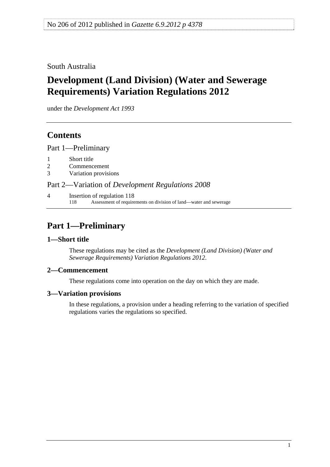<span id="page-0-0"></span>South Australia

# **Development (Land Division) (Water and Sewerage Requirements) Variation Regulations 2012**

under the *Development Act 1993*

## **Contents**

[Part 1—Preliminary](#page-0-0)

- [1 Short title](#page-0-0)
- [2 Commencement](#page-0-0)
- [3 Variation provisions](#page-0-0)

Part 2—Variation of *[Development Regulations 2008](#page-1-0)*

[4 Insertion of regulation 118](#page-1-0)  [118 Assessment of requirements on division of land—water and sewerage](#page-0-0) 

# **Part 1—Preliminary**

## **1—Short title**

These regulations may be cited as the *Development (Land Division) (Water and Sewerage Requirements) Variation Regulations 2012*.

## **2—Commencement**

These regulations come into operation on the day on which they are made.

## **3—Variation provisions**

In these regulations, a provision under a heading referring to the variation of specified regulations varies the regulations so specified.